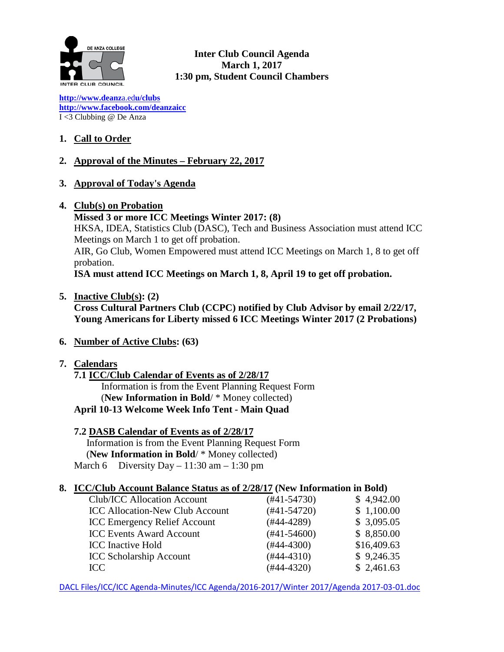

**Inter Club Council Agenda March 1, 2017 1:30 pm, Student Council Chambers**

**[http://www.deanz](http://www.deanza.edu/clubs)**[a.ed](http://www.deanza.edu/clubs)**[u/clubs](http://www.deanza.edu/clubs) [http://www.facebook.com/deanzaicc](http://www.facebook.com/home.php#!/group.php?gid=59034552686)** I <3 Clubbing @ De Anza

# **1. Call to Order**

# **2. Approval of the Minutes – February 22, 2017**

**3. Approval of Today's Agenda**

### **4. Club(s) on Probation**

**Missed 3 or more ICC Meetings Winter 2017: (8)** HKSA, IDEA, Statistics Club (DASC), Tech and Business Association must attend ICC Meetings on March 1 to get off probation. AIR, Go Club, Women Empowered must attend ICC Meetings on March 1, 8 to get off probation. **ISA must attend ICC Meetings on March 1, 8, April 19 to get off probation.**

**5. Inactive Club(s): (2)**

**Cross Cultural Partners Club (CCPC) notified by Club Advisor by email 2/22/17, Young Americans for Liberty missed 6 ICC Meetings Winter 2017 (2 Probations)**

- **6. Number of Active Clubs: (63)**
- **7. Calendars**

**7.1 ICC/Club Calendar of Events as of 2/28/17** Information is from the Event Planning Request Form (**New Information in Bold**/ \* Money collected) **April 10-13 Welcome Week Info Tent - Main Quad**

**7.2 DASB Calendar of Events as of 2/28/17**

Information is from the Event Planning Request Form (**New Information in Bold**/ \* Money collected) March 6 Diversity Day – 11:30 am – 1:30 pm

### **8. ICC/Club Account Balance Status as of 2/28/17 (New Information in Bold)**

| Club/ICC Allocation Account            | $(#41-54730)$ | \$4,942.00  |
|----------------------------------------|---------------|-------------|
| <b>ICC Allocation-New Club Account</b> | $(#41-54720)$ | \$1,100.00  |
| <b>ICC Emergency Relief Account</b>    | $(#44-4289)$  | \$3,095.05  |
| <b>ICC Events Award Account</b>        | $(#41-54600)$ | \$8,850.00  |
| <b>ICC</b> Inactive Hold               | $(#44-4300)$  | \$16,409.63 |
| <b>ICC Scholarship Account</b>         | $(#44-4310)$  | \$9,246.35  |
| ICC                                    | $(#44-4320)$  | \$2,461.63  |
|                                        |               |             |

DACL Files/ICC/ICC Agenda-Minutes/ICC Agenda/2016-2017/Winter 2017/Agenda 2017-03-01.doc